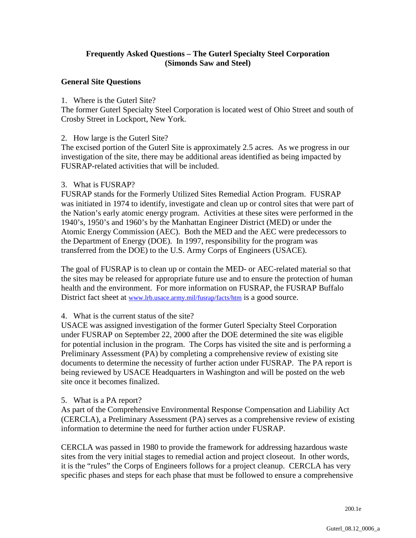# **Frequently Asked Questions – The Guterl Specialty Steel Corporation (Simonds Saw and Steel)**

### **General Site Questions**

### 1. Where is the Guterl Site?

The former Guterl Specialty Steel Corporation is located west of Ohio Street and south of Crosby Street in Lockport, New York.

#### 2. How large is the Guterl Site?

The excised portion of the Guterl Site is approximately 2.5 acres. As we progress in our investigation of the site, there may be additional areas identified as being impacted by FUSRAP-related activities that will be included.

### 3. What is FUSRAP?

FUSRAP stands for the Formerly Utilized Sites Remedial Action Program. FUSRAP was initiated in 1974 to identify, investigate and clean up or control sites that were part of the Nation's early atomic energy program. Activities at these sites were performed in the 1940's, 1950's and 1960's by the Manhattan Engineer District (MED) or under the Atomic Energy Commission (AEC). Both the MED and the AEC were predecessors to the Department of Energy (DOE). In 1997, responsibility for the program was transferred from the DOE) to the U.S. Army Corps of Engineers (USACE).

The goal of FUSRAP is to clean up or contain the MED- or AEC-related material so that the sites may be released for appropriate future use and to ensure the protection of human health and the environment. For more information on FUSRAP, the FUSRAP Buffalo District fact sheet at www.lrb.usace.army.mil/fusrap/facts/htm is a good source.

### 4. What is the current status of the site?

USACE was assigned investigation of the former Guterl Specialty Steel Corporation under FUSRAP on September 22, 2000 after the DOE determined the site was eligible for potential inclusion in the program. The Corps has visited the site and is performing a Preliminary Assessment (PA) by completing a comprehensive review of existing site documents to determine the necessity of further action under FUSRAP. The PA report is being reviewed by USACE Headquarters in Washington and will be posted on the web site once it becomes finalized.

### 5. What is a PA report?

As part of the Comprehensive Environmental Response Compensation and Liability Act (CERCLA), a Preliminary Assessment (PA) serves as a comprehensive review of existing information to determine the need for further action under FUSRAP.

CERCLA was passed in 1980 to provide the framework for addressing hazardous waste sites from the very initial stages to remedial action and project closeout. In other words, it is the "rules" the Corps of Engineers follows for a project cleanup. CERCLA has very specific phases and steps for each phase that must be followed to ensure a comprehensive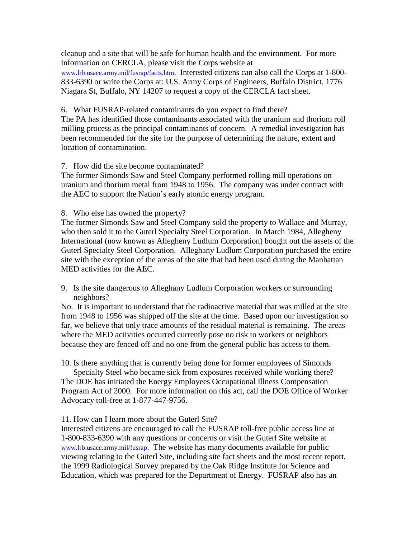cleanup and a site that will be safe for human health and the environment. For more information on CERCLA, please visit the Corps website at www.lrb.usace.army.mil/fusrap/facts.htm. Interested citizens can also call the Corps at 1-800- 833-6390 or write the Corps at: U.S. Army Corps of Engineers, Buffalo District, 1776 Niagara St, Buffalo, NY 14207 to request a copy of the CERCLA fact sheet.

6. What FUSRAP-related contaminants do you expect to find there?

The PA has identified those contaminants associated with the uranium and thorium roll milling process as the principal contaminants of concern. A remedial investigation has been recommended for the site for the purpose of determining the nature, extent and location of contamination.

### 7. How did the site become contaminated?

The former Simonds Saw and Steel Company performed rolling mill operations on uranium and thorium metal from 1948 to 1956. The company was under contract with the AEC to support the Nation's early atomic energy program.

8. Who else has owned the property?

The former Simonds Saw and Steel Company sold the property to Wallace and Murray, who then sold it to the Guterl Specialty Steel Corporation. In March 1984, Allegheny International (now known as Allegheny Ludlum Corporation) bought out the assets of the Guterl Specialty Steel Corporation. Alleghany Ludlum Corporation purchased the entire site with the exception of the areas of the site that had been used during the Manhattan MED activities for the AEC.

9. Is the site dangerous to Alleghany Ludlum Corporation workers or surrounding neighbors?

No. It is important to understand that the radioactive material that was milled at the site from 1948 to 1956 was shipped off the site at the time. Based upon our investigation so far, we believe that only trace amounts of the residual material is remaining. The areas where the MED activities occurred currently pose no risk to workers or neighbors because they are fenced off and no one from the general public has access to them.

10. Is there anything that is currently being done for former employees of Simonds

Specialty Steel who became sick from exposures received while working there? The DOE has initiated the Energy Employees Occupational Illness Compensation Program Act of 2000. For more information on this act, call the DOE Office of Worker Advocacy toll-free at 1-877-447-9756.

### 11. How can I learn more about the Guterl Site?

Interested citizens are encouraged to call the FUSRAP toll-free public access line at 1-800-833-6390 with any questions or concerns or visit the Guterl Site website at [www.lrb.usace.army.mil/fusrap.](http://www.lrb.usace.army.mil/fusrap) The website has many documents available for public viewing relating to the Guterl Site, including site fact sheets and the most recent report, the 1999 Radiological Survey prepared by the Oak Ridge Institute for Science and Education, which was prepared for the Department of Energy. FUSRAP also has an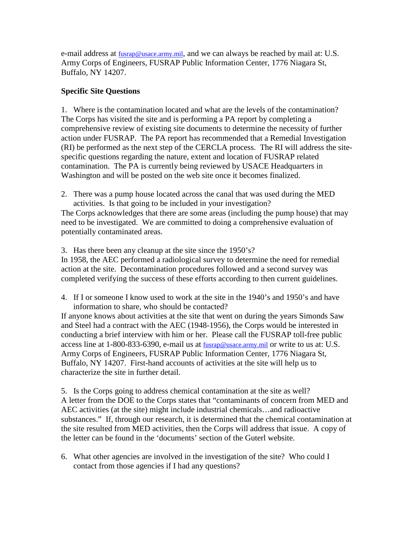e-mail address at  $fussap@usace.array.mit$ , and we can always be reached by mail at: U.S. Army Corps of Engineers, FUSRAP Public Information Center, 1776 Niagara St, Buffalo, NY 14207.

# **Specific Site Questions**

1. Where is the contamination located and what are the levels of the contamination? The Corps has visited the site and is performing a PA report by completing a comprehensive review of existing site documents to determine the necessity of further action under FUSRAP. The PA report has recommended that a Remedial Investigation (RI) be performed as the next step of the CERCLA process. The RI will address the sitespecific questions regarding the nature, extent and location of FUSRAP related contamination. The PA is currently being reviewed by USACE Headquarters in Washington and will be posted on the web site once it becomes finalized.

2. There was a pump house located across the canal that was used during the MED activities. Is that going to be included in your investigation?

The Corps acknowledges that there are some areas (including the pump house) that may need to be investigated. We are committed to doing a comprehensive evaluation of potentially contaminated areas.

3. Has there been any cleanup at the site since the 1950's?

In 1958, the AEC performed a radiological survey to determine the need for remedial action at the site. Decontamination procedures followed and a second survey was completed verifying the success of these efforts according to then current guidelines.

4. If I or someone I know used to work at the site in the 1940's and 1950's and have information to share, who should be contacted?

If anyone knows about activities at the site that went on during the years Simonds Saw and Steel had a contract with the AEC (1948-1956), the Corps would be interested in conducting a brief interview with him or her. Please call the FUSRAP toll-free public access line at 1-800-833-6390, e-mail us at fusrap@usace.army.mil or write to us at: U.S. Army Corps of Engineers, FUSRAP Public Information Center, 1776 Niagara St, Buffalo, NY 14207. First-hand accounts of activities at the site will help us to characterize the site in further detail.

5. Is the Corps going to address chemical contamination at the site as well? A letter from the DOE to the Corps states that "contaminants of concern from MED and AEC activities (at the site) might include industrial chemicals…and radioactive substances." If, through our research, it is determined that the chemical contamination at the site resulted from MED activities, then the Corps will address that issue. A copy of the letter can be found in the 'documents' section of the Guterl website.

6. What other agencies are involved in the investigation of the site? Who could I contact from those agencies if I had any questions?